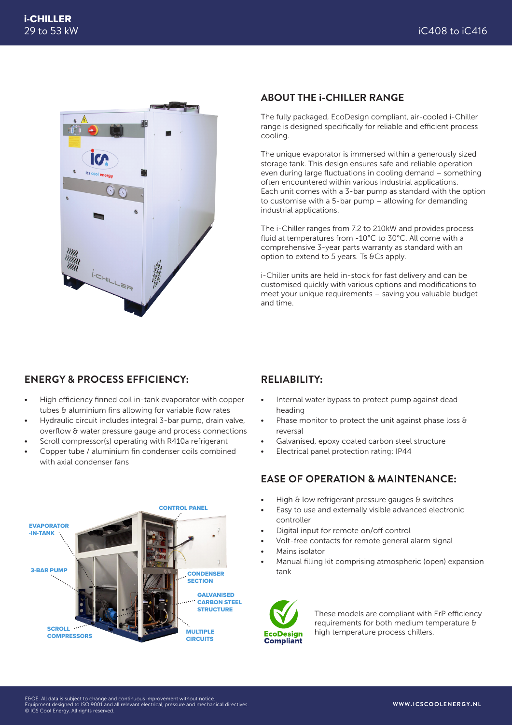

#### **ABOUT THE i-CHILLER RANGE**

The fully packaged, EcoDesign compliant, air-cooled i-Chiller range is designed specifically for reliable and efficient process cooling.

The unique evaporator is immersed within a generously sized storage tank. This design ensures safe and reliable operation even during large fluctuations in cooling demand – something often encountered within various industrial applications. Each unit comes with a 3-bar pump as standard with the option to customise with a 5-bar pump – allowing for demanding industrial applications.

The i-Chiller ranges from 7.2 to 210kW and provides process fluid at temperatures from -10°C to 30°C. All come with a comprehensive 3-year parts warranty as standard with an option to extend to 5 years. Ts &Cs apply.

i-Chiller units are held in-stock for fast delivery and can be customised quickly with various options and modifications to meet your unique requirements – saving you valuable budget and time.

#### **ENERGY & PROCESS EFFICIENCY:**

- High efficiency finned coil in-tank evaporator with copper tubes & aluminium fins allowing for variable flow rates
- Hydraulic circuit includes integral 3-bar pump, drain valve, overflow & water pressure gauge and process connections
- Scroll compressor(s) operating with R410a refrigerant
- Copper tube / aluminium fin condenser coils combined with axial condenser fans



### **RELIABILITY:**

- Internal water bypass to protect pump against dead heading
- Phase monitor to protect the unit against phase loss & reversal
- Galvanised, epoxy coated carbon steel structure
- Electrical panel protection rating: IP44

#### **EASE OF OPERATION & MAINTENANCE:**

- High & low refrigerant pressure gauges & switches
- Easy to use and externally visible advanced electronic controller
- Digital input for remote on/off control
- Volt-free contacts for remote general alarm signal
- Mains isolator
- Manual filling kit comprising atmospheric (open) expansion tank



These models are compliant with ErP efficiency requirements for both medium temperature & high temperature process chillers.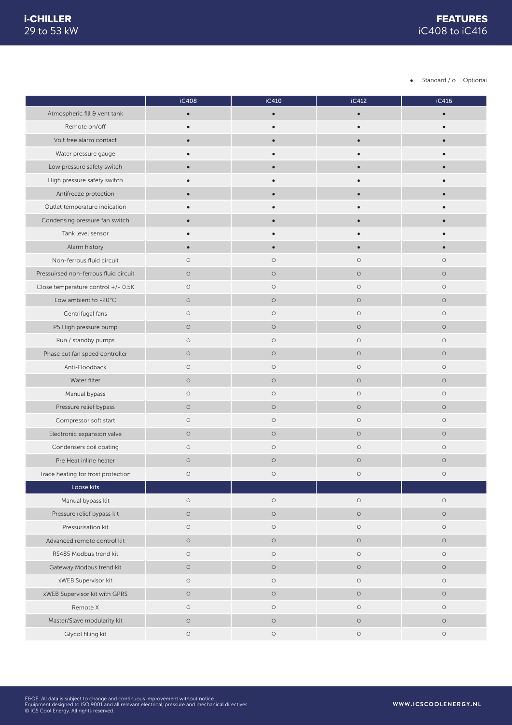$\bullet$  = Standard /  $o$  = Optional

|                                       | iC408      | iC410     | iC412      | iC416      |
|---------------------------------------|------------|-----------|------------|------------|
| Atmospheric fill & vent tank          | $\bullet$  | $\bullet$ | $\bullet$  |            |
| Remote on/off                         | $\bullet$  | $\bullet$ | $\bullet$  |            |
| Volt free alarm contact               | $\bullet$  | $\bullet$ |            |            |
| Water pressure gauge                  |            |           |            |            |
| Low pressure safety switch            | $\bullet$  | $\bullet$ |            |            |
| High pressure safety switch           | $\bullet$  | $\bullet$ |            |            |
| Antifreeze protection                 |            |           |            |            |
| Outlet temperature indication         |            |           |            |            |
| Condensing pressure fan switch        | $\bullet$  | $\bullet$ |            |            |
| Tank level sensor                     |            |           |            |            |
| Alarm history                         | $\bullet$  | $\bullet$ |            |            |
| Non-ferrous fluid circuit             | $\circ$    | $\circ$   | $\circ$    | $\circ$    |
| Pressuirsed non-ferrous fluid circuit | $\circ$    | $\circ$   | $\circ$    | $\circ$    |
| Close temperature control +/- 0.5K    | $\circ$    | $\circ$   | $\circ$    | $\circ$    |
| Low ambient to -20°C                  | $\circ$    | $\circ$   | $\circ$    | $\circ$    |
| Centrifugal fans                      | $\circ$    | $\circ$   | $\circ$    | $\circ$    |
| P5 High pressure pump                 | $\circ$    | $\circ$   | $\circ$    | $\circ$    |
| Run / standby pumps                   | $\circ$    | $\circ$   | $\circ$    | $\circ$    |
| Phase cut fan speed controller        | $\circ$    | $\circ$   | $\circ$    | $\circ$    |
| Anti-Floodback                        | $\circ$    | $\circ$   | $\circ$    | $\circ$    |
| Water filter                          | $\circ$    | $\circ$   | $\circ$    | $\circ$    |
| Manual bypass                         | $\circ$    | $\circ$   | $\circ$    | $\circ$    |
| Pressure relief bypass                | $\circ$    | $\circ$   | $\circ$    | $\circ$    |
| Compressor soft start                 | $\circ$    | $\circ$   | $\circ$    | $\circ$    |
| Electronic expansion valve            | $\circ$    | $\circ$   | $\circ$    | $\circ$    |
| Condensers coil coating               | $\circ$    | $\circ$   | $\circ$    | $\circ$    |
| Pre Heat inline heater                | $\circ$    | $\circ$   | $\circ$    | $\circ$    |
| Trace heating for frost protection    | $\bigcirc$ | $\circ$   | $\circ$    | $\circ$    |
| Loose kits                            |            |           |            |            |
| Manual bypass kit                     | $\circ$    | $\circ$   | $\circ$    | $\bigcirc$ |
| Pressure relief bypass kit            | $\circ$    | $\circ$   | $\circ$    | $\circ$    |
| Pressurisation kit                    | $\circ$    | $\circ$   | $\circ$    | $\circ$    |
| Advanced remote control kit           | $\circ$    | $\circ$   | $\circ$    | $\circ$    |
| RS485 Modbus trend kit                | $\bigcirc$ | $\circ$   | $\bigcirc$ | $\circ$    |
| Gateway Modbus trend kit              | $\circ$    | $\circ$   | $\circ$    | $\circ$    |
| xWEB Supervisor kit                   | $\circ$    | $\circ$   | $\circ$    | $\circ$    |
| xWEB Supervisor kit with GPRS         | $\circ$    | $\circ$   | $\circ$    | $\circ$    |
| Remote X                              | $\circ$    | $\circ$   | $\circ$    | $\circ$    |
| Master/Slave modularity kit           | $\circ$    | $\circ$   | $\circ$    | $\circ$    |
| Glycol filling kit                    | $\circ$    | $\circ$   | $\bigcirc$ | $\circ$    |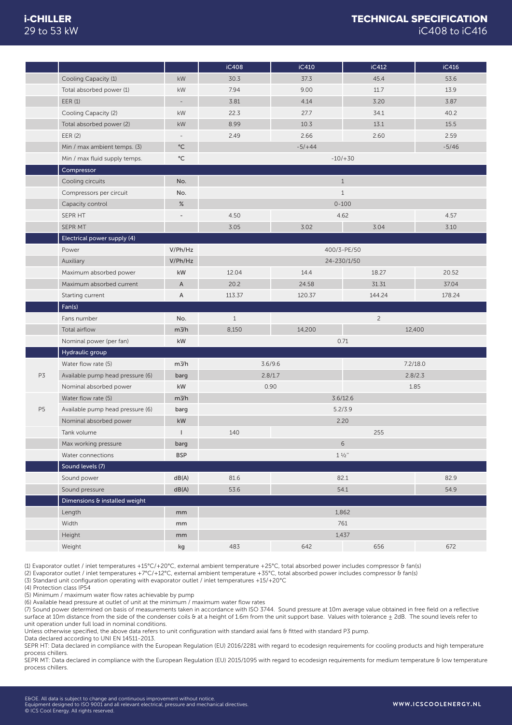|                |                                                            |                          | iC408        | iC410    | iC412             | iC416    |
|----------------|------------------------------------------------------------|--------------------------|--------------|----------|-------------------|----------|
|                | Cooling Capacity (1)                                       | kW                       | 30.3         | 37.3     | 45.4              | 53.6     |
|                | Total absorbed power (1)                                   | kW                       | 7.94         | 9.00     | 11.7              | 13.9     |
|                | EER(1)                                                     | $\overline{\phantom{a}}$ | 3.81         | 4.14     | 3.20              | 3.87     |
|                | Cooling Capacity (2)                                       | kW                       | 22.3         | 27.7     | 34.1              | 40.2     |
|                | Total absorbed power (2)                                   | kW                       | 8.99         | 10.3     | 13.1              | 15.5     |
|                | EER (2)                                                    | $\bar{ }$                | 2.49         | 2.66     | 2.60              | 2.59     |
|                | Min / max ambient temps. (3)                               | $^{\circ}$ C             |              | $-5/+44$ |                   | $-5/46$  |
|                | Min / max fluid supply temps.                              | $^{\circ}{\rm C}$        |              |          | $-10/ + 30$       |          |
|                | Compressor                                                 |                          |              |          |                   |          |
|                | Cooling circuits                                           | No.                      |              |          | $1\,$             |          |
|                | Compressors per circuit                                    | No.                      |              |          | $1\,$             |          |
|                | Capacity control                                           | %                        |              |          | $0 - 100$         |          |
|                | SEPR HT                                                    | ٠                        | 4.50         |          | 4.62              | 4.57     |
|                | SEPR MT                                                    |                          | 3.05         | 3.02     | 3.04              | 3.10     |
|                | Electrical power supply (4)                                |                          |              |          |                   |          |
|                | Power                                                      | V/Ph/Hz                  |              |          | 400/3-PE/50       |          |
|                | Auxiliary                                                  | V/Ph/Hz                  |              |          | 24-230/1/50       |          |
|                | Maximum absorbed power                                     | kW                       | 12.04        | 14.4     | 18.27             | 20.52    |
|                | Maximum absorbed current                                   | $\mathsf{A}$             | 20.2         | 24.58    | 31.31             | 37.04    |
|                |                                                            |                          |              |          |                   |          |
|                | Starting current                                           | $\mathsf A$              | 113.37       | 120.37   | 144.24            | 178.24   |
|                |                                                            |                          |              |          |                   |          |
|                | Fan(s)<br>Fans number                                      |                          | $\mathbf{1}$ |          |                   |          |
|                |                                                            | No.                      |              |          | $\overline{c}$    |          |
|                | Total airflow                                              | m3/h<br>kW               | 8,150        | 14,200   | 0.71              | 12,400   |
|                | Nominal power (per fan)                                    |                          |              |          |                   |          |
|                | Hydraulic group<br>Water flow rate (5)                     | m3/h                     |              | 3.6/9.6  |                   | 7.2/18.0 |
| P3             |                                                            |                          |              | 2.8/1.7  |                   | 2.8/2.3  |
|                | Available pump head pressure (6)                           | barg<br>kW               |              | 0.90     |                   | 1.85     |
|                | Nominal absorbed power<br>Water flow rate (5)              | $m\frac{3}{h}$           |              |          | 3.6/12.6          |          |
| P <sub>5</sub> |                                                            |                          |              |          | 5.2/3.9           |          |
|                | Available pump head pressure (6)<br>Nominal absorbed power | barg<br>kW               |              |          | 2.20              |          |
|                | Tank volume                                                | $\overline{\phantom{a}}$ | 140          |          | 255               |          |
|                |                                                            |                          |              |          | $\sqrt{6}$        |          |
|                | Max working pressure                                       | barg<br><b>BSP</b>       |              |          |                   |          |
|                | Water connections                                          |                          |              |          | $1 \frac{1}{2}$ " |          |
|                | Sound levels (7)                                           |                          | 81.6         |          |                   |          |
|                | Sound power                                                | dB(A)                    |              |          | 82.1              | 82.9     |
|                | Sound pressure                                             | dB(A)                    | 53.6         |          | 54.1              | 54.9     |
|                | Dimensions & installed weight                              |                          |              |          |                   |          |
|                | Length                                                     | mm                       |              |          | 1,862             |          |
|                | Width<br>Height                                            | mm<br>mm                 |              |          | 761<br>1,437      |          |

(1) Evaporator outlet / inlet temperatures +15°C/+20°C, external ambient temperature +25°C, total absorbed power includes compressor & fan(s)

(2) Evaporator outlet / inlet temperatures +7°C/+12°C, external ambient temperature +35°C, total absorbed power includes compressor & fan(s)

(3) Standard unit configuration operating with evaporator outlet / inlet temperatures +15/+20°C

(4) Protection class IP54

(5) Minimum / maximum water flow rates achievable by pump

(6) Available head pressure at outlet of unit at the minimum / maximum water flow rates (7) Sound power determined on basis of measurements taken in accordance with ISO 3744. Sound pressure at 10m average value obtained in free field on a reflective surface at 10m distance from the side of the condenser coils & at a height of 1.6m from the unit support base. Values with tolerance  $\pm$  2dB. The sound levels refer to

unit operation under full load in nominal conditions. Unless otherwise specified, the above data refers to unit configuration with standard axial fans & fitted with standard P3 pump.

Data declared according to UNI EN 14511-2013.

SEPR HT: Data declared in compliance with the European Regulation (EU) 2016/2281 with regard to ecodesign requirements for cooling products and high temperature process chillers.

SEPR MT: Data declared in compliance with the European Regulation (EU) 2015/1095 with regard to ecodesign requirements for medium temperature & low temperature process chillers.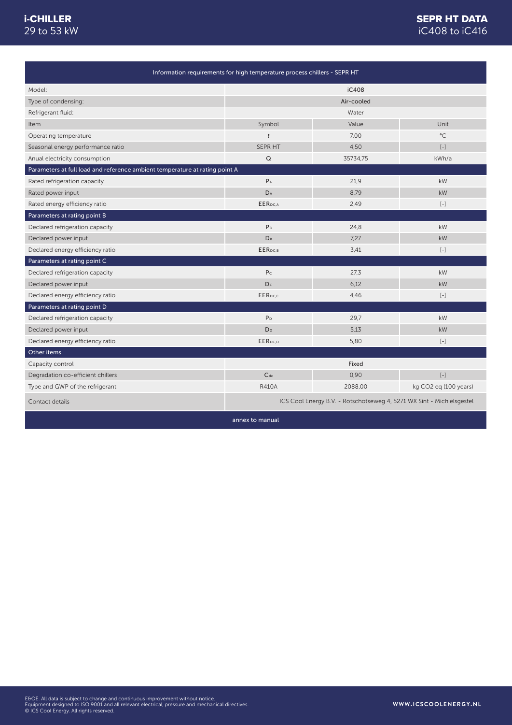### SEPR HT DATA iC408 to iC416

| Information requirements for high temperature process chillers - SEPR HT    |                     |                                                                       |                       |
|-----------------------------------------------------------------------------|---------------------|-----------------------------------------------------------------------|-----------------------|
| Model:                                                                      |                     | iC408                                                                 |                       |
| Type of condensing:                                                         |                     | Air-cooled                                                            |                       |
| Refrigerant fluid:                                                          |                     | Water                                                                 |                       |
| Item                                                                        | Symbol              | Value                                                                 | Unit                  |
| Operating temperature                                                       | t                   | 7.00                                                                  | $^{\circ}$ C          |
| Seasonal energy performance ratio                                           | <b>SEPR HT</b>      | 4.50                                                                  | $\left[ -\right]$     |
| Anual electricity consumption                                               | Q                   | 35734,75                                                              | kWh/a                 |
| Parameters at full load and reference ambient temperature at rating point A |                     |                                                                       |                       |
| Rated refrigeration capacity                                                | $P_A$               | 21.9                                                                  | kW                    |
| Rated power input                                                           | DA                  | 8,79                                                                  | kW                    |
| Rated energy efficiency ratio                                               | <b>EER</b> pc.A     | 2,49                                                                  | $[-]$                 |
| Parameters at rating point B                                                |                     |                                                                       |                       |
| Declared refrigeration capacity                                             | P <sub>B</sub>      | 24,8                                                                  | kW                    |
| Declared power input                                                        | D <sub>B</sub>      | 7,27                                                                  | kW                    |
| Declared energy efficiency ratio                                            | EER <sub>DC.B</sub> | 3,41                                                                  | $\left[ -\right]$     |
| Parameters at rating point C                                                |                     |                                                                       |                       |
| Declared refrigeration capacity                                             | P <sub>c</sub>      | 27,3                                                                  | kW                    |
| Declared power input                                                        | Dc                  | 6.12                                                                  | kW                    |
| Declared energy efficiency ratio                                            | EER <sub>DC,C</sub> | 4,46                                                                  | $\left[ -\right]$     |
| Parameters at rating point D                                                |                     |                                                                       |                       |
| Declared refrigeration capacity                                             | P <sub>D</sub>      | 29,7                                                                  | kW                    |
| Declared power input                                                        | D <sub>D</sub>      | 5,13                                                                  | kW                    |
| Declared energy efficiency ratio                                            | EER <sub>pc.p</sub> | 5,80                                                                  | $[-]$                 |
| Other items                                                                 |                     |                                                                       |                       |
| Capacity control                                                            |                     | Fixed                                                                 |                       |
| Degradation co-efficient chillers                                           | $C_{dc}$            | 0,90                                                                  | $\left[ -\right]$     |
| Type and GWP of the refrigerant                                             | <b>R410A</b>        | 2088,00                                                               | kg CO2 eg (100 years) |
| Contact details                                                             |                     | ICS Cool Energy B.V. - Rotschotseweg 4, 5271 WX Sint - Michielsgestel |                       |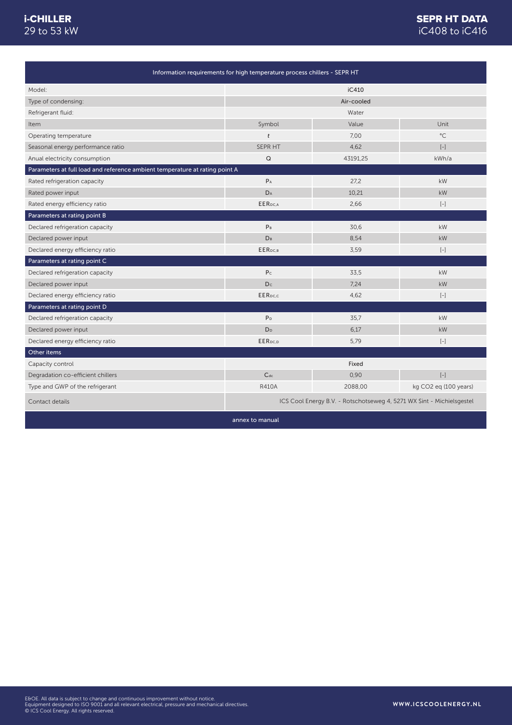### iC408 to iC416 SEPR HT DATA

| Information requirements for high temperature process chillers - SEPR HT    |                         |                                                                       |                                                                                                                                                                                                                                                      |
|-----------------------------------------------------------------------------|-------------------------|-----------------------------------------------------------------------|------------------------------------------------------------------------------------------------------------------------------------------------------------------------------------------------------------------------------------------------------|
| Model:                                                                      |                         | iC410                                                                 |                                                                                                                                                                                                                                                      |
| Type of condensing:                                                         |                         | Air-cooled                                                            |                                                                                                                                                                                                                                                      |
| Refrigerant fluid:                                                          |                         | Water                                                                 |                                                                                                                                                                                                                                                      |
| Item                                                                        | Symbol                  | Value                                                                 | Unit                                                                                                                                                                                                                                                 |
| Operating temperature                                                       | $\mathbf{t}$            | 7.00                                                                  | $^{\circ}$ C                                                                                                                                                                                                                                         |
| Seasonal energy performance ratio                                           | <b>SEPR HT</b>          | 4.62                                                                  | $\left[ -\right] % \begin{minipage}[b]{.45\linewidth} \centering \includegraphics[width=\textwidth]{figs/fig_4b}% \caption{The average number of times in the left and right.} \label{fig:fig_4b}% \end{minipage}%$                                  |
| Anual electricity consumption                                               | $\mathsf Q$             | 43191,25                                                              | kWh/a                                                                                                                                                                                                                                                |
| Parameters at full load and reference ambient temperature at rating point A |                         |                                                                       |                                                                                                                                                                                                                                                      |
| Rated refrigeration capacity                                                | $P_A$                   | 27,2                                                                  | kW                                                                                                                                                                                                                                                   |
| Rated power input                                                           | $\mathsf{D}_\mathsf{A}$ | 10,21                                                                 | kW                                                                                                                                                                                                                                                   |
| Rated energy efficiency ratio                                               | EER <sub>DC,A</sub>     | 2,66                                                                  | $\left[ -\right] % \includegraphics[width=0.9\textwidth]{images/TrDiag-Architecture.png} % \caption{The first two different values of $x$ in the unit cell. The second two different values of $x$ in the unit cell.} \label{TrDiag-Architecture} %$ |
| Parameters at rating point B                                                |                         |                                                                       |                                                                                                                                                                                                                                                      |
| Declared refrigeration capacity                                             | P <sub>B</sub>          | 30,6                                                                  | kW                                                                                                                                                                                                                                                   |
| Declared power input                                                        | DB                      | 8,54                                                                  | <b>kW</b>                                                                                                                                                                                                                                            |
| Declared energy efficiency ratio                                            | EER <sub>DC,B</sub>     | 3,59                                                                  | $[-]$                                                                                                                                                                                                                                                |
| Parameters at rating point C                                                |                         |                                                                       |                                                                                                                                                                                                                                                      |
| Declared refrigeration capacity                                             | P <sub>C</sub>          | 33,5                                                                  | kW                                                                                                                                                                                                                                                   |
| Declared power input                                                        | Dc                      | 7.24                                                                  | kW                                                                                                                                                                                                                                                   |
| Declared energy efficiency ratio                                            | <b>EER</b> pc.c         | 4,62                                                                  | $\left[ -\right]$                                                                                                                                                                                                                                    |
| Parameters at rating point D                                                |                         |                                                                       |                                                                                                                                                                                                                                                      |
| Declared refrigeration capacity                                             | P <sub>D</sub>          | 35,7                                                                  | kW                                                                                                                                                                                                                                                   |
| Declared power input                                                        | D <sub>D</sub>          | 6,17                                                                  | kW                                                                                                                                                                                                                                                   |
| Declared energy efficiency ratio                                            | EER <sub>DC,D</sub>     | 5,79                                                                  | $[-]$                                                                                                                                                                                                                                                |
| Other items                                                                 |                         |                                                                       |                                                                                                                                                                                                                                                      |
| Capacity control                                                            |                         | Fixed                                                                 |                                                                                                                                                                                                                                                      |
| Degradation co-efficient chillers                                           | $C_{dc}$                | 0,90                                                                  | $\left[ -\right]$                                                                                                                                                                                                                                    |
| Type and GWP of the refrigerant                                             | <b>R410A</b>            | 2088,00                                                               | kg CO2 eq (100 years)                                                                                                                                                                                                                                |
| Contact details                                                             |                         | ICS Cool Energy B.V. - Rotschotseweg 4, 5271 WX Sint - Michielsgestel |                                                                                                                                                                                                                                                      |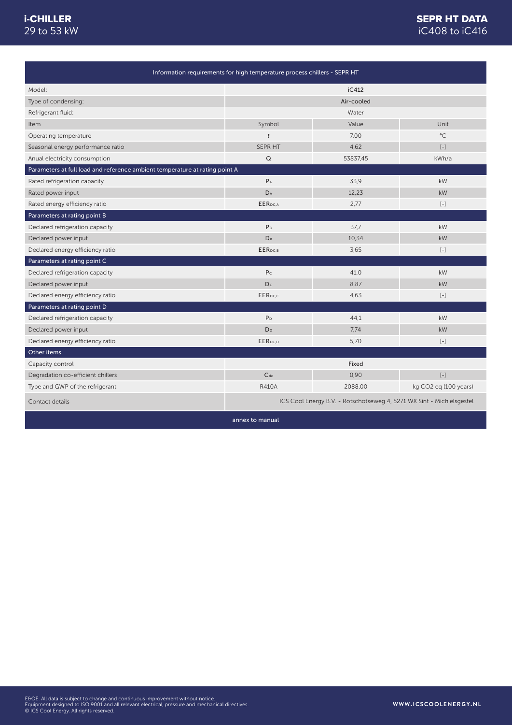### iC408 to iC416 SEPR HT DATA

| Information requirements for high temperature process chillers - SEPR HT    |                     |                                                                       |                       |
|-----------------------------------------------------------------------------|---------------------|-----------------------------------------------------------------------|-----------------------|
| Model:                                                                      |                     | iC412                                                                 |                       |
| Type of condensing:                                                         |                     | Air-cooled                                                            |                       |
| Refrigerant fluid:                                                          |                     | Water                                                                 |                       |
| Item                                                                        | Symbol              | Value                                                                 | Unit                  |
| Operating temperature                                                       | t                   | 7.00                                                                  | $^{\circ}$ C          |
| Seasonal energy performance ratio                                           | SEPR HT             | 4.62                                                                  | $\left[ -\right]$     |
| Anual electricity consumption                                               | $\mathsf Q$         | 53837,45                                                              | kWh/a                 |
| Parameters at full load and reference ambient temperature at rating point A |                     |                                                                       |                       |
| Rated refrigeration capacity                                                | $P_A$               | 33.9                                                                  | kW                    |
| Rated power input                                                           | DA                  | 12,23                                                                 | kW                    |
| Rated energy efficiency ratio                                               | EER <sub>DC,A</sub> | 2,77                                                                  | $[-]$                 |
| Parameters at rating point B                                                |                     |                                                                       |                       |
| Declared refrigeration capacity                                             | P <sub>B</sub>      | 37,7                                                                  | kW                    |
| Declared power input                                                        | DB                  | 10,34                                                                 | <b>kW</b>             |
| Declared energy efficiency ratio                                            | EER <sub>DC.B</sub> | 3,65                                                                  | $[-]$                 |
| Parameters at rating point C                                                |                     |                                                                       |                       |
| Declared refrigeration capacity                                             | P <sub>c</sub>      | 41.0                                                                  | kW                    |
| Declared power input                                                        | D <sub>c</sub>      | 8.87                                                                  | kW                    |
| Declared energy efficiency ratio                                            | <b>EER</b> pc.c     | 4,63                                                                  | $\left[ -\right]$     |
| Parameters at rating point D                                                |                     |                                                                       |                       |
| Declared refrigeration capacity                                             | P <sub>D</sub>      | 44,1                                                                  | kW                    |
| Declared power input                                                        | D <sub>D</sub>      | 7,74                                                                  | kW                    |
| Declared energy efficiency ratio                                            | EERpc.p             | 5,70                                                                  | $\left[ -\right]$     |
| Other items                                                                 |                     |                                                                       |                       |
| Capacity control                                                            |                     | Fixed                                                                 |                       |
| Degradation co-efficient chillers                                           | $C_{dc}$            | 0,90                                                                  | $\left[ -\right]$     |
| Type and GWP of the refrigerant                                             | <b>R410A</b>        | 2088,00                                                               | kg CO2 eg (100 years) |
| Contact details                                                             |                     | ICS Cool Energy B.V. - Rotschotseweg 4, 5271 WX Sint - Michielsgestel |                       |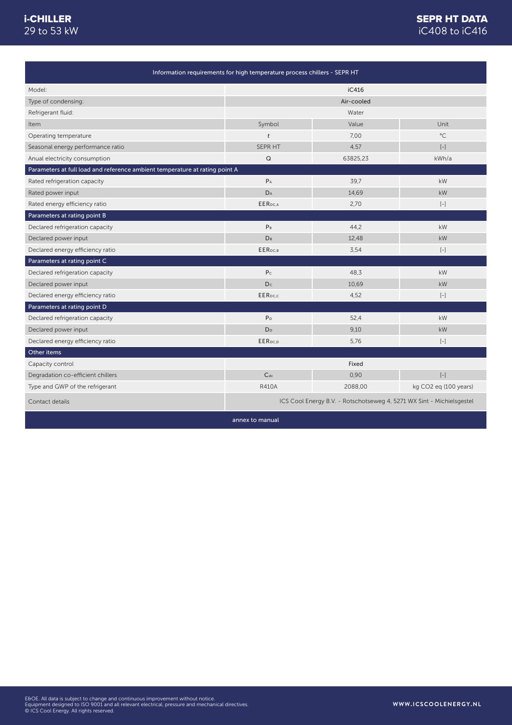### iC408 to iC416 SEPR HT DATA

| Information requirements for high temperature process chillers - SEPR HT    |                         |                                                                       |                                                                                                                                                                                                                                                      |
|-----------------------------------------------------------------------------|-------------------------|-----------------------------------------------------------------------|------------------------------------------------------------------------------------------------------------------------------------------------------------------------------------------------------------------------------------------------------|
| Model:                                                                      |                         | iC416                                                                 |                                                                                                                                                                                                                                                      |
| Type of condensing:                                                         |                         | Air-cooled                                                            |                                                                                                                                                                                                                                                      |
| Refrigerant fluid:                                                          |                         | Water                                                                 |                                                                                                                                                                                                                                                      |
| Item                                                                        | Symbol                  | Value                                                                 | Unit                                                                                                                                                                                                                                                 |
| Operating temperature                                                       | $\mathbf{t}$            | 7.00                                                                  | $^{\circ}$ C                                                                                                                                                                                                                                         |
| Seasonal energy performance ratio                                           | <b>SEPR HT</b>          | 4.57                                                                  | $\left[ -\right] % \begin{minipage}[b]{.45\linewidth} \centering \includegraphics[width=\textwidth]{figs/fig_4b}% \caption{The average number of times in the left and right.} \label{fig:fig_4b}% \end{minipage}%$                                  |
| Anual electricity consumption                                               | $\mathsf Q$             | 63825,23                                                              | kWh/a                                                                                                                                                                                                                                                |
| Parameters at full load and reference ambient temperature at rating point A |                         |                                                                       |                                                                                                                                                                                                                                                      |
| Rated refrigeration capacity                                                | $P_A$                   | 39,7                                                                  | kW                                                                                                                                                                                                                                                   |
| Rated power input                                                           | $\mathsf{D}_\mathsf{A}$ | 14,69                                                                 | kW                                                                                                                                                                                                                                                   |
| Rated energy efficiency ratio                                               | EER <sub>DC,A</sub>     | 2,70                                                                  | $\left[ -\right] % \includegraphics[width=0.9\textwidth]{images/TrDiag-Architecture.png} % \caption{The first two different values of $x$ in the unit cell. The second two different values of $x$ in the unit cell.} \label{TrDiag-Architecture} %$ |
| Parameters at rating point B                                                |                         |                                                                       |                                                                                                                                                                                                                                                      |
| Declared refrigeration capacity                                             | P <sub>B</sub>          | 44,2                                                                  | kW                                                                                                                                                                                                                                                   |
| Declared power input                                                        | DB                      | 12,48                                                                 | <b>kW</b>                                                                                                                                                                                                                                            |
| Declared energy efficiency ratio                                            | EER <sub>DC,B</sub>     | 3,54                                                                  | $[-]$                                                                                                                                                                                                                                                |
| Parameters at rating point C                                                |                         |                                                                       |                                                                                                                                                                                                                                                      |
| Declared refrigeration capacity                                             | P <sub>C</sub>          | 48,3                                                                  | kW                                                                                                                                                                                                                                                   |
| Declared power input                                                        | Dc                      | 10.69                                                                 | kW                                                                                                                                                                                                                                                   |
| Declared energy efficiency ratio                                            | <b>EER</b> pc.c         | 4,52                                                                  | $\left[ -\right]$                                                                                                                                                                                                                                    |
| Parameters at rating point D                                                |                         |                                                                       |                                                                                                                                                                                                                                                      |
| Declared refrigeration capacity                                             | P <sub>D</sub>          | 52,4                                                                  | kW                                                                                                                                                                                                                                                   |
| Declared power input                                                        | D <sub>D</sub>          | 9.10                                                                  | kW                                                                                                                                                                                                                                                   |
| Declared energy efficiency ratio                                            | EER <sub>DC,D</sub>     | 5,76                                                                  | $[-]$                                                                                                                                                                                                                                                |
| Other items                                                                 |                         |                                                                       |                                                                                                                                                                                                                                                      |
| Capacity control                                                            |                         | Fixed                                                                 |                                                                                                                                                                                                                                                      |
| Degradation co-efficient chillers                                           | $C_{dc}$                | 0,90                                                                  | $\left[ -\right]$                                                                                                                                                                                                                                    |
| Type and GWP of the refrigerant                                             | <b>R410A</b>            | 2088,00                                                               | kg CO2 eq (100 years)                                                                                                                                                                                                                                |
| Contact details                                                             |                         | ICS Cool Energy B.V. - Rotschotseweg 4, 5271 WX Sint - Michielsgestel |                                                                                                                                                                                                                                                      |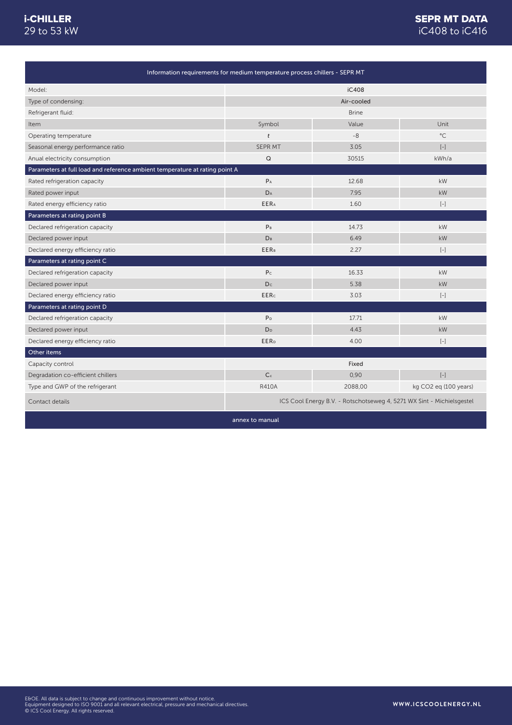### SEPR MT DATA iC408 to iC416

| Information requirements for medium temperature process chillers - SEPR MT  |                         |                                                                       |                                                                                                                                                                                                                                                      |
|-----------------------------------------------------------------------------|-------------------------|-----------------------------------------------------------------------|------------------------------------------------------------------------------------------------------------------------------------------------------------------------------------------------------------------------------------------------------|
| Model:                                                                      |                         | iC408                                                                 |                                                                                                                                                                                                                                                      |
| Type of condensing:                                                         |                         | Air-cooled                                                            |                                                                                                                                                                                                                                                      |
| Refrigerant fluid:                                                          |                         | <b>Brine</b>                                                          |                                                                                                                                                                                                                                                      |
| Item                                                                        | Symbol                  | Value                                                                 | Unit                                                                                                                                                                                                                                                 |
| Operating temperature                                                       | t                       | $-8$                                                                  | $^{\circ}$ C                                                                                                                                                                                                                                         |
| Seasonal energy performance ratio                                           | SEPR MT                 | 3.05                                                                  | $\left[ -\right]$                                                                                                                                                                                                                                    |
| Anual electricity consumption                                               | Q                       | 30515                                                                 | kWh/a                                                                                                                                                                                                                                                |
| Parameters at full load and reference ambient temperature at rating point A |                         |                                                                       |                                                                                                                                                                                                                                                      |
| Rated refrigeration capacity                                                | $P_A$                   | 12.68                                                                 | kW                                                                                                                                                                                                                                                   |
| Rated power input                                                           | $D_A$                   | 7.95                                                                  | kW                                                                                                                                                                                                                                                   |
| Rated energy efficiency ratio                                               | <b>EERA</b>             | 1.60                                                                  | $\left[ -\right]$                                                                                                                                                                                                                                    |
| Parameters at rating point B                                                |                         |                                                                       |                                                                                                                                                                                                                                                      |
| Declared refrigeration capacity                                             | P <sub>B</sub>          | 14.73                                                                 | kW                                                                                                                                                                                                                                                   |
| Declared power input                                                        | D <sub>B</sub>          | 6.49                                                                  | kW                                                                                                                                                                                                                                                   |
| Declared energy efficiency ratio                                            | <b>EERB</b>             | 2.27                                                                  | $\left[ -\right] % \includegraphics[width=0.9\textwidth]{images/TrDiag-Architecture.png} % \caption{The first two different values of $x$ in the unit cell. The second two different values of $x$ in the unit cell.} \label{TrDiag-Architecture} %$ |
| Parameters at rating point C                                                |                         |                                                                       |                                                                                                                                                                                                                                                      |
| Declared refrigeration capacity                                             | P <sub>c</sub>          | 16.33                                                                 | kW                                                                                                                                                                                                                                                   |
| Declared power input                                                        | Dc                      | 5.38                                                                  | <b>kW</b>                                                                                                                                                                                                                                            |
| Declared energy efficiency ratio                                            | <b>EERc</b>             | 3.03                                                                  | $\left[ -\right]$                                                                                                                                                                                                                                    |
| Parameters at rating point D                                                |                         |                                                                       |                                                                                                                                                                                                                                                      |
| Declared refrigeration capacity                                             | P <sub>D</sub>          | 17.71                                                                 | kW                                                                                                                                                                                                                                                   |
| Declared power input                                                        | D <sub>D</sub>          | 4.43                                                                  | kW                                                                                                                                                                                                                                                   |
| Declared energy efficiency ratio                                            | <b>EER</b> <sub>D</sub> | 4.00                                                                  | $\left[ -\right]$                                                                                                                                                                                                                                    |
| Other items                                                                 |                         |                                                                       |                                                                                                                                                                                                                                                      |
| Capacity control                                                            |                         | Fixed                                                                 |                                                                                                                                                                                                                                                      |
| Degradation co-efficient chillers                                           | C <sub>c</sub>          | 0,90                                                                  | $[-]$                                                                                                                                                                                                                                                |
| Type and GWP of the refrigerant                                             | <b>R410A</b>            | 2088,00                                                               | kg CO2 eg (100 years)                                                                                                                                                                                                                                |
| Contact details                                                             |                         | ICS Cool Energy B.V. - Rotschotseweg 4, 5271 WX Sint - Michielsgestel |                                                                                                                                                                                                                                                      |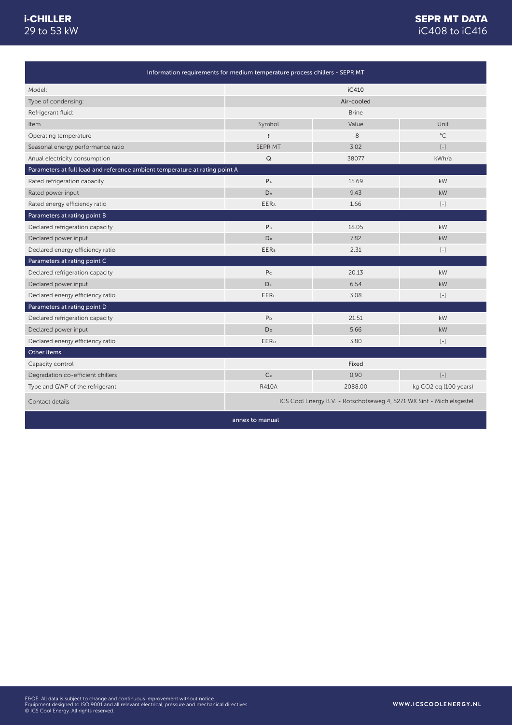### iC408 to iC416 SEPR MT DATA

| Information requirements for medium temperature process chillers - SEPR MT  |                         |                                                                       |                                                                                                                                                                                                                                                      |
|-----------------------------------------------------------------------------|-------------------------|-----------------------------------------------------------------------|------------------------------------------------------------------------------------------------------------------------------------------------------------------------------------------------------------------------------------------------------|
| Model:                                                                      |                         | iC410                                                                 |                                                                                                                                                                                                                                                      |
| Type of condensing:                                                         |                         | Air-cooled                                                            |                                                                                                                                                                                                                                                      |
| Refrigerant fluid:                                                          |                         | <b>Brine</b>                                                          |                                                                                                                                                                                                                                                      |
| Item                                                                        | Symbol                  | Value                                                                 | Unit                                                                                                                                                                                                                                                 |
| Operating temperature                                                       | t                       | $-8$                                                                  | $^{\circ}$ C                                                                                                                                                                                                                                         |
| Seasonal energy performance ratio                                           | <b>SEPR MT</b>          | 3.02                                                                  | $[-]$                                                                                                                                                                                                                                                |
| Anual electricity consumption                                               | $\mathsf Q$             | 38077                                                                 | kWh/a                                                                                                                                                                                                                                                |
| Parameters at full load and reference ambient temperature at rating point A |                         |                                                                       |                                                                                                                                                                                                                                                      |
| Rated refrigeration capacity                                                | $P_A$                   | 15.69                                                                 | kW                                                                                                                                                                                                                                                   |
| Rated power input                                                           | DA                      | 9.43                                                                  | kW                                                                                                                                                                                                                                                   |
| Rated energy efficiency ratio                                               | <b>EERA</b>             | 1.66                                                                  | $[-]$                                                                                                                                                                                                                                                |
| Parameters at rating point B                                                |                         |                                                                       |                                                                                                                                                                                                                                                      |
| Declared refrigeration capacity                                             | P <sub>B</sub>          | 18.05                                                                 | kW                                                                                                                                                                                                                                                   |
| Declared power input                                                        | $D_B$                   | 7.82                                                                  | kW                                                                                                                                                                                                                                                   |
| Declared energy efficiency ratio                                            | <b>EERB</b>             | 2.31                                                                  | $\left[ -\right] % \includegraphics[width=0.9\textwidth]{images/TrDiag-Architecture.png} % \caption{The first two different values of $x$ in the unit cell. The second two different values of $x$ in the unit cell.} \label{TrDiag-Architecture} %$ |
| Parameters at rating point C                                                |                         |                                                                       |                                                                                                                                                                                                                                                      |
| Declared refrigeration capacity                                             | P <sub>c</sub>          | 20.13                                                                 | kW                                                                                                                                                                                                                                                   |
| Declared power input                                                        | Dc                      | 6.54                                                                  | <b>kW</b>                                                                                                                                                                                                                                            |
| Declared energy efficiency ratio                                            | <b>EERc</b>             | 3.08                                                                  | $[-]$                                                                                                                                                                                                                                                |
| Parameters at rating point D                                                |                         |                                                                       |                                                                                                                                                                                                                                                      |
| Declared refrigeration capacity                                             | P <sub>D</sub>          | 21.51                                                                 | kW                                                                                                                                                                                                                                                   |
| Declared power input                                                        | D <sub>D</sub>          | 5.66                                                                  | kW                                                                                                                                                                                                                                                   |
| Declared energy efficiency ratio                                            | <b>EER</b> <sub>D</sub> | 3.80                                                                  | $\left[ -\right]$                                                                                                                                                                                                                                    |
| Other items                                                                 |                         |                                                                       |                                                                                                                                                                                                                                                      |
| Capacity control                                                            |                         | Fixed                                                                 |                                                                                                                                                                                                                                                      |
| Degradation co-efficient chillers                                           | C <sub>c</sub>          | 0,90                                                                  | $\left[ -\right]$                                                                                                                                                                                                                                    |
| Type and GWP of the refrigerant                                             | <b>R410A</b>            | 2088,00                                                               | kg CO2 eg (100 years)                                                                                                                                                                                                                                |
| Contact details                                                             |                         | ICS Cool Energy B.V. - Rotschotseweg 4, 5271 WX Sint - Michielsgestel |                                                                                                                                                                                                                                                      |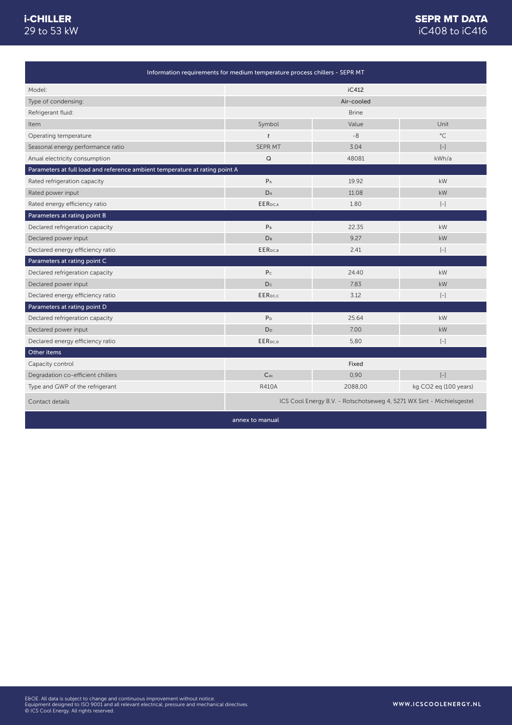### SEPR MT DATA iC408 to iC416

| Information requirements for medium temperature process chillers - SEPR MT  |                      |                                                                       |                       |
|-----------------------------------------------------------------------------|----------------------|-----------------------------------------------------------------------|-----------------------|
| Model:                                                                      |                      | iC412                                                                 |                       |
| Type of condensing:                                                         |                      | Air-cooled                                                            |                       |
| Refrigerant fluid:                                                          |                      | <b>Brine</b>                                                          |                       |
| Item                                                                        | Symbol               | Value                                                                 | Unit                  |
| Operating temperature                                                       | t                    | $-8$                                                                  | $^{\circ}$ C          |
| Seasonal energy performance ratio                                           | <b>SEPR MT</b>       | 3.04                                                                  | $\left[ -\right]$     |
| Anual electricity consumption                                               | Q                    | 48081                                                                 | kWh/a                 |
| Parameters at full load and reference ambient temperature at rating point A |                      |                                                                       |                       |
| Rated refrigeration capacity                                                | $P_A$                | 19.92                                                                 | kW                    |
| Rated power input                                                           | DA                   | 11.08                                                                 | kW                    |
| Rated energy efficiency ratio                                               | EER <sub>pc.A</sub>  | 1.80                                                                  | $[-]$                 |
| Parameters at rating point B                                                |                      |                                                                       |                       |
| Declared refrigeration capacity                                             | P <sub>B</sub>       | 22.35                                                                 | kW                    |
| Declared power input                                                        | <b>D<sub>B</sub></b> | 9.27                                                                  | kW                    |
| Declared energy efficiency ratio                                            | EER <sub>DC.B</sub>  | 2.41                                                                  | $\left[ -\right]$     |
| Parameters at rating point C                                                |                      |                                                                       |                       |
| Declared refrigeration capacity                                             | P <sub>c</sub>       | 24.40                                                                 | kW                    |
| Declared power input                                                        | D <sub>c</sub>       | 7.83                                                                  | kW                    |
| Declared energy efficiency ratio                                            | EER <sub>pc.c</sub>  | 3.12                                                                  | $[-]$                 |
| Parameters at rating point D                                                |                      |                                                                       |                       |
| Declared refrigeration capacity                                             | P <sub>D</sub>       | 25.64                                                                 | kW                    |
| Declared power input                                                        | D <sub>D</sub>       | 7.00                                                                  | kW                    |
| Declared energy efficiency ratio                                            | EER <sub>pc.p</sub>  | 5,80                                                                  | $[-]$                 |
| Other items                                                                 |                      |                                                                       |                       |
| Capacity control                                                            |                      | Fixed                                                                 |                       |
| Degradation co-efficient chillers                                           | $C_{dc}$             | 0,90                                                                  | $[-]$                 |
| Type and GWP of the refrigerant                                             | <b>R410A</b>         | 2088,00                                                               | kg CO2 eg (100 years) |
| Contact details                                                             |                      | ICS Cool Energy B.V. - Rotschotseweg 4, 5271 WX Sint - Michielsgestel |                       |